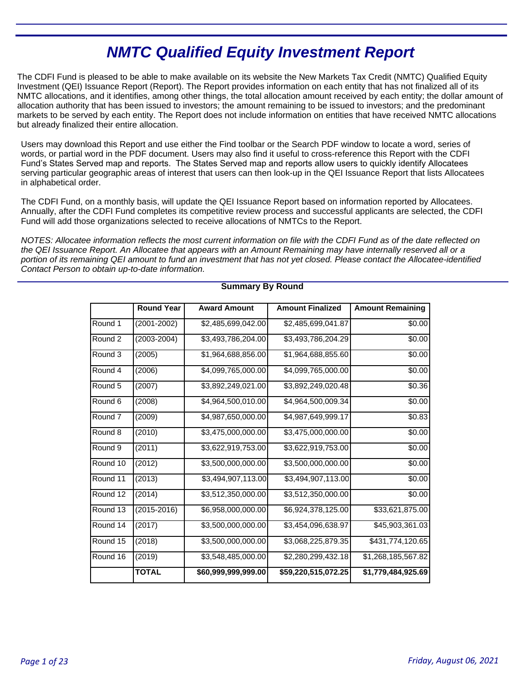# **NMTC Qualified Equity Investment Report**

The CDFI Fund is pleased to be able to make available on its website the New Markets Tax Credit (NMTC) Qualified Equity Investment (QEI) Issuance Report (Report). The Report provides information on each entity that has not finalized all of its NMTC allocations, and it identifies, among other things, the total allocation amount received by each entity; the dollar amount of allocation authority that has been issued to investors; the amount remaining to be issued to investors; and the predominant markets to be served by each entity. The Report does not include information on entities that have received NMTC allocations but already finalized their entire allocation.

Users may download this Report and use either the Find toolbar or the Search PDF window to locate a word, series of words, or partial word in the PDF document. Users may also find it useful to cross-reference this Report with the CDFI Fund's States Served map and reports. The States Served map and reports allow users to quickly identify Allocatees serving particular geographic areas of interest that users can then look-up in the QEI Issuance Report that lists Allocatees in alphabetical order.

The CDFI Fund, on a monthly basis, will update the QEI Issuance Report based on information reported by Allocatees. Annually, after the CDFI Fund completes its competitive review process and successful applicants are selected, the CDFI Fund will add those organizations selected to receive allocations of NMTCs to the Report.

NOTES: Allocatee information reflects the most current information on file with the CDFI Fund as of the date reflected on the QEI Issuance Report. An Allocatee that appears with an Amount Remaining may have internally reserved all or a portion of its remaining QEI amount to fund an investment that has not yet closed. Please contact the Allocatee-identified Contact Person to obtain up-to-date information.

|                    | <b>Round Year</b> | <b>Award Amount</b> | <b>Amount Finalized</b> | <b>Amount Remaining</b> |
|--------------------|-------------------|---------------------|-------------------------|-------------------------|
| Round 1            | (2001-2002)       | \$2,485,699,042.00  | \$2,485,699,041.87      | \$0.00                  |
| Round 2            | (2003-2004)       | \$3,493,786,204.00  | \$3,493,786,204.29      | \$0.00                  |
| Round 3            | (2005)            | \$1,964,688,856.00  | \$1,964,688,855.60      | \$0.00                  |
| Round 4            | (2006)            | \$4,099,765,000.00  | \$4,099,765,000.00      | \$0.00                  |
| Round 5            | (2007)            | \$3,892,249,021.00  | \$3,892,249,020.48      | \$0.36                  |
| Round 6            | (2008)            | \$4,964,500,010.00  | \$4,964,500,009.34      | \$0.00                  |
| Round <sub>7</sub> | (2009)            | \$4,987,650,000.00  | \$4,987,649,999.17      | \$0.83                  |
| Round 8            | (2010)            | \$3,475,000,000.00  | \$3,475,000,000.00      | \$0.00                  |
| Round <sub>9</sub> | (2011)            | \$3,622,919,753.00  | \$3,622,919,753.00      | \$0.00                  |
| Round 10           | (2012)            | \$3,500,000,000.00  | \$3,500,000,000.00      | \$0.00                  |
| Round 11           | (2013)            | \$3,494,907,113.00  | \$3,494,907,113.00      | \$0.00                  |
| Round 12           | (2014)            | \$3,512,350,000.00  | \$3,512,350,000.00      | \$0.00                  |
| Round 13           | $(2015 - 2016)$   | \$6,958,000,000.00  | \$6,924,378,125.00      | \$33,621,875.00         |
| Round 14           | (2017)            | \$3,500,000,000.00  | \$3,454,096,638.97      | \$45,903,361.03         |
| Round 15           | (2018)            | \$3,500,000,000.00  | \$3,068,225,879.35      | \$431,774,120.65        |
| Round 16           | (2019)            | \$3,548,485,000.00  | \$2,280,299,432.18      | \$1,268,185,567.82      |
|                    | <b>TOTAL</b>      | \$60,999,999,999.00 | \$59,220,515,072.25     | \$1,779,484,925.69      |

### **Summary By Round**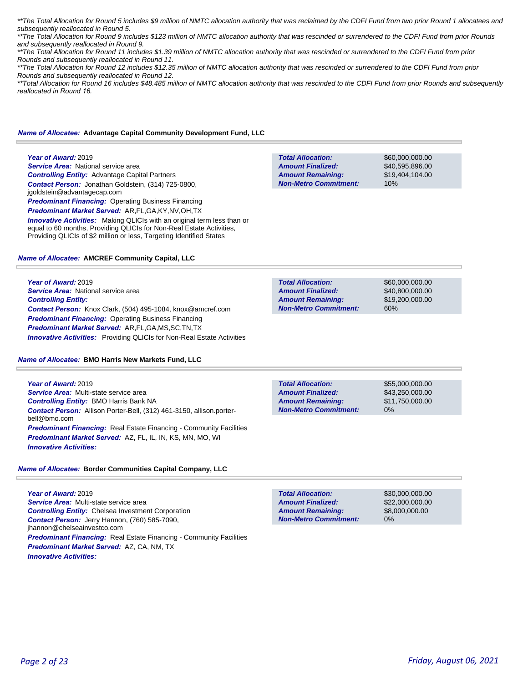\*\*The Total Allocation for Round 5 includes \$9 million of NMTC allocation authority that was reclaimed by the CDFI Fund from two prior Round 1 allocatees and subsequently reallocated in Round 5.

\*\*The Total Allocation for Round 9 includes \$123 million of NMTC allocation authority that was rescinded or surrendered to the CDFI Fund from prior Rounds and subsequently reallocated in Round 9.

\*\*The Total Allocation for Round 11 includes \$1.39 million of NMTC allocation authority that was rescinded or surrendered to the CDFI Fund from prior Rounds and subsequently reallocated in Round 11.

\*\*The Total Allocation for Round 12 includes \$12.35 million of NMTC allocation authority that was rescinded or surrendered to the CDFI Fund from prior Rounds and subsequently reallocated in Round 12.

\*\*Total Allocation for Round 16 includes \$48.485 million of NMTC allocation authority that was rescinded to the CDFI Fund from prior Rounds and subsequently *reallocated in Round 16.* 

**Total Allocation:**

**Total Allocation:**

**Non-Metro Commitment: Amount Remaining: Amount Finalized:**

**Non-Metro Commitment: Amount Remaining: Amount Finalized:**

#### *Name of Allocatee:* **Advantage Capital Community Development Fund, LLC**

#### **Year of Award:** 2019

**Service Area: National service area** *Controlling Entity:* Advantage Capital Partners *Contact Person:* Jonathan Goldstein, (314) 725-0800, jgoldstein@advantagecap.com **Predominant Financing: Operating Business Financing** 

*Predominant Market Served:* AR,FL,GA,KY,NV,OH,TX

**Innovative Activities:** Making QLICIs with an original term less than or equal to 60 months, Providing QLICIs for Non-Real Estate Activities, Providing QLICIs of \$2 million or less, Targeting Identified States

#### *Name of Allocatee:* **AMCREF Community Capital, LLC**

**Year of Award:** 2019 **Service Area: National service area** *Controlling Entity: Contact Person:* Knox Clark, (504) 495-1084, knox@amcref.com **Predominant Financing: Operating Business Financing** *Predominant Market Served:* AR,FL,GA,MS,SC,TN,TX *Innovative Activities:* Providing QLICIs for Non-Real Estate Activities

#### *Name of Allocatee:* **BMO Harris New Markets Fund, LLC**

**Year of Award:** 2019 *Service Area:* Multi-state service area *Controlling Entity:* BMO Harris Bank NA *Contact Person:* Allison Porter-Bell, (312) 461-3150, allison.porterbell@bmo.com **Predominant Financing:** Real Estate Financing - Community Facilities *Predominant Market Served:* AZ, FL, IL, IN, KS, MN, MO, WI *Innovative Activities:* 

#### *Name of Allocatee:* **Border Communities Capital Company, LLC**

**Year of Award:** 2019 *Service Area:* Multi-state service area *Controlling Entity:* Chelsea Investment Corporation *Contact Person:* Jerry Hannon, (760) 585-7090, jhannon@chelseainvestco.com **Predominant Financing:** Real Estate Financing - Community Facilities *Predominant Market Served:* AZ, CA, NM, TX *Innovative Activities:* 

**Total Allocation: Non-Metro Commitment: Amount Remaining: Amount Finalized:**

\$55,000,000.00 \$43,250,000.00 \$11,750,000.00 0%

\$60,000,000.00 \$40,595,896.00 \$19,404,104.00

\$60,000,000.00 \$40,800,000.00 \$19,200,000.00

60%

10%

\$30,000,000.00 \$22,000,000.00 \$8,000,000.00 0% **Total Allocation: Non-Metro Commitment: Amount Remaining: Amount Finalized:**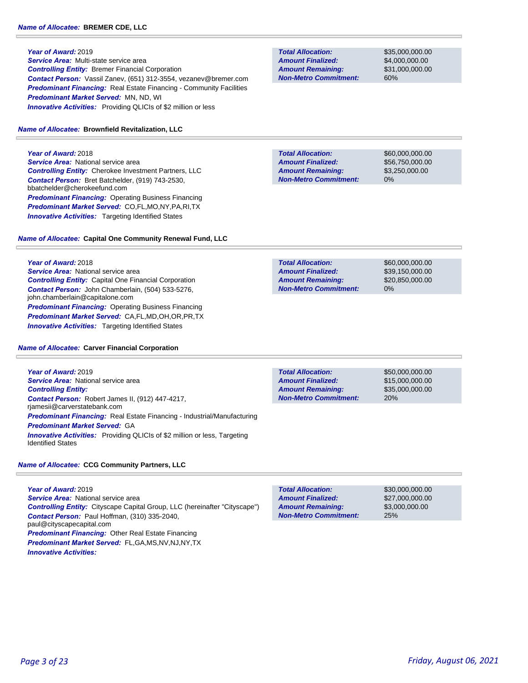#### **Year of Award:** 2019

*Service Area:* Multi-state service area *Controlling Entity:* Bremer Financial Corporation *Contact Person:* Vassil Zanev, (651) 312-3554, vezanev@bremer.com **Predominant Financing:** Real Estate Financing - Community Facilities *Predominant Market Served:* MN, ND, WI **Innovative Activities:** Providing QLICIs of \$2 million or less

#### *Name of Allocatee:* **Brownfield Revitalization, LLC**

**Year of Award:** 2018 **Service Area: National service area** *Controlling Entity:* Cherokee Investment Partners, LLC *Contact Person:* Bret Batchelder, (919) 743-2530, bbatchelder@cherokeefund.com *Predominant Financing:* Operating Business Financing *Predominant Market Served:* CO,FL,MO,NY,PA,RI,TX **Innovative Activities:** Targeting Identified States

### *Name of Allocatee:* **Capital One Community Renewal Fund, LLC**

### **Year of Award:** 2018

**Service Area:** National service area *Controlling Entity:* Capital One Financial Corporation *Contact Person:* John Chamberlain, (504) 533-5276, john.chamberlain@capitalone.com *Predominant Financing:* Operating Business Financing *Predominant Market Served:* CA,FL,MD,OH,OR,PR,TX **Innovative Activities:** Targeting Identified States

#### *Name of Allocatee:* **Carver Financial Corporation**

**Year of Award:** 2019 **Service Area: National service area** *Controlling Entity: Contact Person:* Robert James II, (912) 447-4217, rjamesii@carverstatebank.com *Predominant Financing:* Real Estate Financing - Industrial/Manufacturing *Predominant Market Served:* GA *Innovative Activities:* Providing QLICIs of \$2 million or less, Targeting Identified States

#### *Name of Allocatee:* **CCG Community Partners, LLC**

**Year of Award:** 2019 **Service Area: National service area** *Controlling Entity:* Cityscape Capital Group, LLC (hereinafter "Cityscape") *Contact Person:* Paul Hoffman, (310) 335-2040, paul@cityscapecapital.com *Predominant Financing:* Other Real Estate Financing *Predominant Market Served:* FL,GA,MS,NV,NJ,NY,TX *Innovative Activities:* 

**Total Allocation: Non-Metro Commitment: Amount Remaining: Amount Finalized:**

\$35,000,000.00 \$4,000,000.00 \$31,000,000.00 60%

**Total Allocation: Non-Metro Commitment: Amount Remaining: Amount Finalized:**

\$60,000,000.00 \$56,750,000.00 \$3,250,000.00 0%

\$60,000,000.00 \$39,150,000.00 \$20,850,000.00 0% **Total Allocation: Non-Metro Commitment: Amount Remaining: Amount Finalized:**

**Total Allocation: Non-Metro Commitment: Amount Remaining: Amount Finalized:**

\$50,000,000.00 \$15,000,000.00 \$35,000,000.00 20%

\$30,000,000.00 \$27,000,000.00 \$3,000,000.00 25% **Total Allocation: Non-Metro Commitment: Amount Remaining: Amount Finalized:**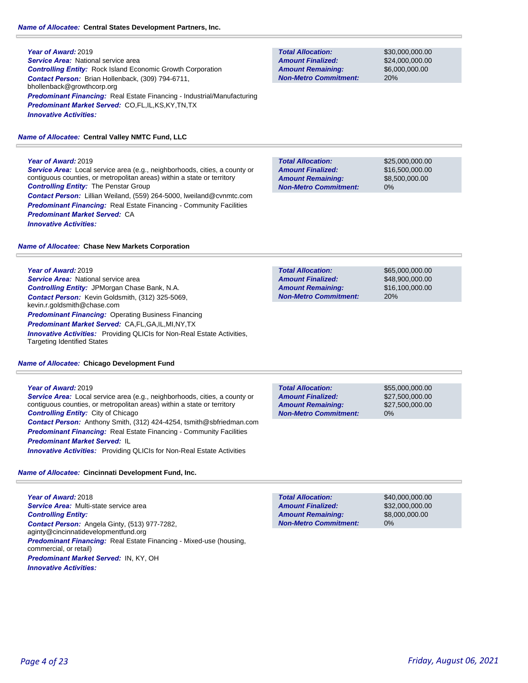### *Name of Allocatee:* **Central States Development Partners, Inc.**

**Year of Award:** 2019 *Service Area:* National service area *Controlling Entity:* Rock Island Economic Growth Corporation *Contact Person:* Brian Hollenback, (309) 794-6711, bhollenback@growthcorp.org *Predominant Financing:* Real Estate Financing - Industrial/Manufacturing *Predominant Market Served:* CO,FL,IL,KS,KY,TN,TX *Innovative Activities:* 

### *Name of Allocatee:* **Central Valley NMTC Fund, LLC**

### **Year of Award:** 2019

*Service Area:* Local service area (e.g., neighborhoods, cities, a county or contiguous counties, or metropolitan areas) within a state or territory *Controlling Entity:* The Penstar Group *Contact Person:* Lillian Weiland, (559) 264-5000, lweiland@cvnmtc.com **Predominant Financing:** Real Estate Financing - Community Facilities *Predominant Market Served:* CA *Innovative Activities:* 

### *Name of Allocatee:* **Chase New Markets Corporation**

### **Year of Award:** 2019

**Service Area: National service area** *Controlling Entity:* JPMorgan Chase Bank, N.A. *Contact Person:* Kevin Goldsmith, (312) 325-5069, kevin.r.goldsmith@chase.com *Predominant Financing: Operating Business Financing Predominant Market Served:* CA,FL,GA,IL,MI,NY,TX **Innovative Activities:** Providing QLICIs for Non-Real Estate Activities, Targeting Identified States

### *Name of Allocatee:* **Chicago Development Fund**

### **Year of Award:** 2019

*Service Area:* Local service area (e.g., neighborhoods, cities, a county or contiguous counties, or metropolitan areas) within a state or territory *Controlling Entity:* City of Chicago *Contact Person:* Anthony Smith, (312) 424-4254, tsmith@sbfriedman.com **Predominant Financing:** Real Estate Financing - Community Facilities *Predominant Market Served:* IL *Innovative Activities:* Providing QLICIs for Non-Real Estate Activities

### *Name of Allocatee:* **Cincinnati Development Fund, Inc.**

**Year of Award:** 2018 *Service Area:* Multi-state service area *Controlling Entity: Contact Person:* Angela Ginty, (513) 977-7282, aginty@cincinnatidevelopmentfund.org *Predominant Financing:* Real Estate Financing - Mixed-use (housing, commercial, or retail) *Predominant Market Served:* IN, KY, OH *Innovative Activities:* 

**Total Allocation: Non-Metro Commitment: Amount Remaining: Amount Finalized:**

\$30,000,000.00 \$24,000,000.00 \$6,000,000.00 20%

**Total Allocation: Non-Metro Commitment: Amount Remaining: Amount Finalized:**

\$25,000,000.00 \$16,500,000.00 \$8,500,000.00 0%

\$65,000,000.00 **Total Allocation: Non-Metro Commitment: Amount Remaining: Amount Finalized:**

\$48,900,000.00 \$16,100,000.00 20%

**Total Allocation: Non-Metro Commitment: Amount Remaining: Amount Finalized:**

\$55,000,000.00 \$27,500,000.00 \$27,500,000.00 0%

\$40,000,000.00 \$32,000,000.00 \$8,000,000.00 0% **Total Allocation: Non-Metro Commitment: Amount Remaining: Amount Finalized:**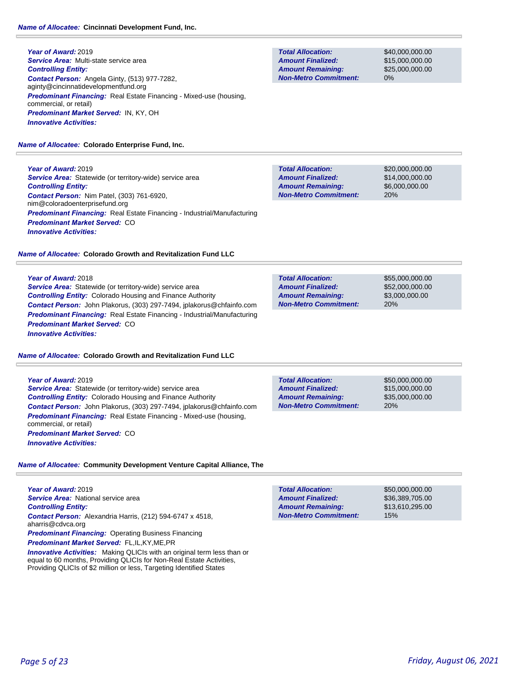**Year of Award:** 2019 *Service Area:* Multi-state service area *Controlling Entity: Contact Person:* Angela Ginty, (513) 977-7282, aginty@cincinnatidevelopmentfund.org *Predominant Financing:* Real Estate Financing - Mixed-use (housing, commercial, or retail) *Predominant Market Served:* IN, KY, OH *Innovative Activities:* 

### *Name of Allocatee:* **Colorado Enterprise Fund, Inc.**

**Year of Award:** 2019 **Service Area:** Statewide (or territory-wide) service area *Controlling Entity: Contact Person:* Nim Patel, (303) 761-6920, nim@coloradoenterprisefund.org *Predominant Financing:* Real Estate Financing - Industrial/Manufacturing *Predominant Market Served:* CO *Innovative Activities:* 

### *Name of Allocatee:* **Colorado Growth and Revitalization Fund LLC**

### **Year of Award:** 2018

**Service Area:** Statewide (or territory-wide) service area *Controlling Entity:* Colorado Housing and Finance Authority *Contact Person:* John Plakorus, (303) 297-7494, jplakorus@chfainfo.com *Predominant Financing:* Real Estate Financing - Industrial/Manufacturing *Predominant Market Served:* CO *Innovative Activities:* 

### *Name of Allocatee:* **Colorado Growth and Revitalization Fund LLC**

### **Year of Award:** 2019

*Service Area:* Statewide (or territory-wide) service area *Controlling Entity:* Colorado Housing and Finance Authority *Contact Person:* John Plakorus, (303) 297-7494, jplakorus@chfainfo.com *Predominant Financing:* Real Estate Financing - Mixed-use (housing, commercial, or retail) *Predominant Market Served:* CO *Innovative Activities:* 

**Total Allocation: Non-Metro Commitment: Amount Remaining: Amount Finalized:**

**Non-Metro Commitment:**

\$50,000,000.00 \$15,000,000.00 \$35,000,000.00 20%

*Name of Allocatee:* **Community Development Venture Capital Alliance, The**

| Year of Award: 2019                                                                   |
|---------------------------------------------------------------------------------------|
| <b>Service Area:</b> National service area                                            |
| <b>Controlling Entity:</b>                                                            |
| <b>Contact Person:</b> Alexandria Harris, (212) 594-6747 x 4518,<br>aharris@cdvca.org |
| <b>Predominant Financing:</b> Operating Business Financing                            |
| <b>Predominant Market Served: FL,IL,KY,ME,PR</b>                                      |

**Innovative Activities:** Making QLICIs with an original term less than or equal to 60 months, Providing QLICIs for Non-Real Estate Activities, Providing QLICIs of \$2 million or less, Targeting Identified States

**Total Allocation: Non-Metro Commitment: Amount Remaining: Amount Finalized:**

\$40,000,000.00 \$15,000,000.00 \$25,000,000.00 0%

**Total Allocation: Non-Metro Commitment: Amount Remaining: Amount Finalized:**

\$20,000,000.00 \$14,000,000.00 \$6,000,000.00 20%

**Total Allocation: Non-Metro Commitment: Amount Remaining: Amount Finalized:**

\$55,000,000.00 \$52,000,000.00 \$3,000,000.00 20%

**Total Allocation: Amount Remaining: Amount Finalized:**

\$50,000,000.00 \$36,389,705.00 \$13,610,295.00 15%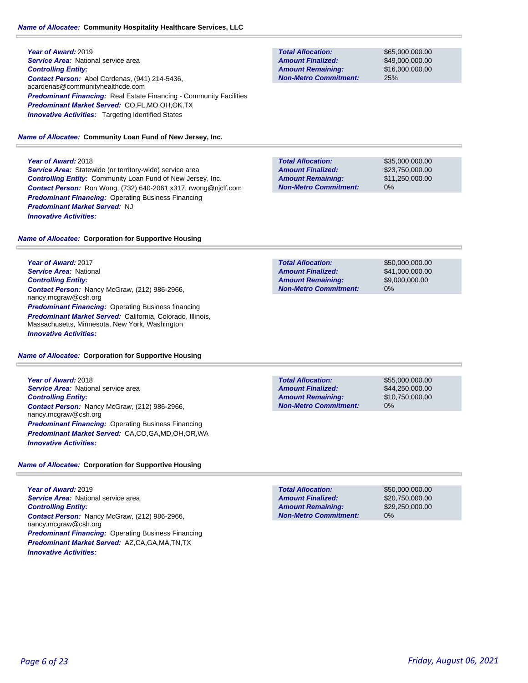### *Name of Allocatee:* **Community Hospitality Healthcare Services, LLC**

**Year of Award:** 2019 **Service Area:** National service area *Controlling Entity: Contact Person:* Abel Cardenas, (941) 214-5436, acardenas@communityhealthcde.com **Predominant Financing:** Real Estate Financing - Community Facilities *Predominant Market Served:* CO,FL,MO,OH,OK,TX **Innovative Activities:** Targeting Identified States

*Name of Allocatee:* **Community Loan Fund of New Jersey, Inc.**

### **Year of Award:** 2018

**Service Area:** Statewide (or territory-wide) service area *Controlling Entity:* Community Loan Fund of New Jersey, Inc. *Contact Person:* Ron Wong, (732) 640-2061 x317, rwong@njclf.com *Predominant Financing:* Operating Business Financing *Predominant Market Served:* NJ *Innovative Activities:* 

### *Name of Allocatee:* **Corporation for Supportive Housing**

**Year of Award:** 2017 *Service Area:* National *Controlling Entity: Contact Person:* Nancy McGraw, (212) 986-2966, nancy.mcgraw@csh.org **Predominant Financing: Operating Business financing** *Predominant Market Served:* California, Colorado, Illinois, Massachusetts, Minnesota, New York, Washington *Innovative Activities:* 

### *Name of Allocatee:* **Corporation for Supportive Housing**

**Year of Award:** 2018 **Service Area: National service area** *Controlling Entity: Contact Person:* Nancy McGraw, (212) 986-2966, nancy.mcgraw@csh.org *Predominant Financing:* Operating Business Financing *Predominant Market Served:* CA,CO,GA,MD,OH,OR,WA *Innovative Activities:* 

### *Name of Allocatee:* **Corporation for Supportive Housing**

**Year of Award:** 2019 **Service Area: National service area** *Controlling Entity: Contact Person:* Nancy McGraw, (212) 986-2966, nancy.mcgraw@csh.org *Predominant Financing:* Operating Business Financing *Predominant Market Served:* AZ,CA,GA,MA,TN,TX *Innovative Activities:* 

| <b>Total Allocation:</b>     |
|------------------------------|
| <b>Amount Finalized:</b>     |
| <b>Amount Remaining:</b>     |
| <b>Non-Metro Commitment:</b> |

\$65,000,000.00 \$49,000,000.00 \$16,000,000.00 25%

\$35,000,000.00 \$23,750,000.00 \$11,250,000.00 0% **Total Allocation: Non-Metro Commitment: Amount Remaining: Amount Finalized:**

\$50,000,000.00 \$41,000,000.00 \$9,000,000.00 0% **Total Allocation: Non-Metro Commitment: Amount Remaining: Amount Finalized:**

**Total Allocation: Non-Metro Commitment: Amount Remaining: Amount Finalized:**

\$55,000,000.00 \$44,250,000.00 \$10,750,000.00 0%

\$50,000,000.00 \$20,750,000.00 \$29,250,000.00 0% **Total Allocation: Non-Metro Commitment: Amount Remaining: Amount Finalized:**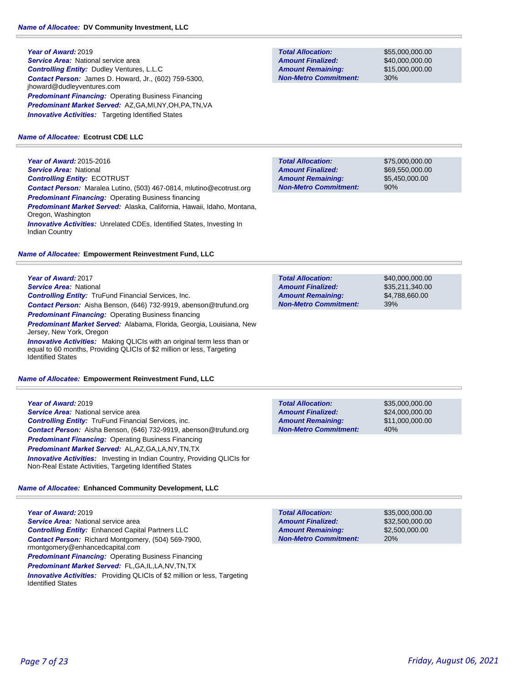**Year of Award:** 2019 **Service Area:** National service area *Controlling Entity:* Dudley Ventures, L.L.C *Contact Person:* James D. Howard, Jr., (602) 759-5300, jhoward@dudleyventures.com **Predominant Financing: Operating Business Financing** *Predominant Market Served:* AZ,GA,MI,NY,OH,PA,TN,VA **Innovative Activities:** Targeting Identified States

#### *Name of Allocatee:* **Ecotrust CDE LLC**

**Year of Award:** 2015-2016 *Service Area:* National *Controlling Entity:* ECOTRUST *Contact Person:* Maralea Lutino, (503) 467-0814, mlutino@ecotrust.org *Predominant Financing:* Operating Business financing *Predominant Market Served:* Alaska, California, Hawaii, Idaho, Montana, Oregon, Washington *Innovative Activities:* Unrelated CDEs, Identified States, Investing In Indian Country

#### *Name of Allocatee:* **Empowerment Reinvestment Fund, LLC**

**Year of Award:** 2017

*Service Area:* National *Controlling Entity:* TruFund Financial Services, Inc. *Contact Person:* Aisha Benson, (646) 732-9919, abenson@trufund.org *Predominant Financing: Operating Business financing Predominant Market Served:* Alabama, Florida, Georgia, Louisiana, New Jersey, New York, Oregon **Innovative Activities:** Making QLICIs with an original term less than or equal to 60 months, Providing QLICIs of \$2 million or less, Targeting

*Name of Allocatee:* **Empowerment Reinvestment Fund, LLC**

#### **Year of Award:** 2019

Identified States

**Service Area: National service area** *Controlling Entity:* TruFund Financial Services, inc. *Contact Person:* Aisha Benson, (646) 732-9919, abenson@trufund.org *Predominant Financing: Operating Business Financing Predominant Market Served:* AL,AZ,GA,LA,NY,TN,TX *Innovative Activities:* Investing in Indian Country, Providing QLICIs for Non-Real Estate Activities, Targeting Identified States

### *Name of Allocatee:* **Enhanced Community Development, LLC**

**Year of Award:** 2019 **Service Area: National service area** *Controlling Entity:* Enhanced Capital Partners LLC *Contact Person:* Richard Montgomery, (504) 569-7900, rmontgomery@enhancedcapital.com **Predominant Financing: Operating Business Financing** *Predominant Market Served:* FL,GA,IL,LA,NV,TN,TX **Innovative Activities:** Providing QLICIs of \$2 million or less, Targeting Identified States

**Total Allocation: Non-Metro Commitment: Amount Remaining: Amount Finalized:**

\$55,000,000.00 \$40,000,000.00 \$15,000,000.00 30%

**Total Allocation: Non-Metro Commitment: Amount Remaining: Amount Finalized:**

\$75,000,000.00 \$69,550,000.00 \$5,450,000.00 90%

\$40,000,000.00 \$35,211,340.00 \$4,788,660.00 39% **Total Allocation: Non-Metro Commitment: Amount Remaining: Amount Finalized:**

\$35,000,000.00 \$24,000,000.00 \$11,000,000.00 40% **Total Allocation: Non-Metro Commitment: Amount Remaining: Amount Finalized:**

**Total Allocation: Non-Metro Commitment: Amount Remaining: Amount Finalized:**

\$35,000,000.00 \$32,500,000.00 \$2,500,000.00 20%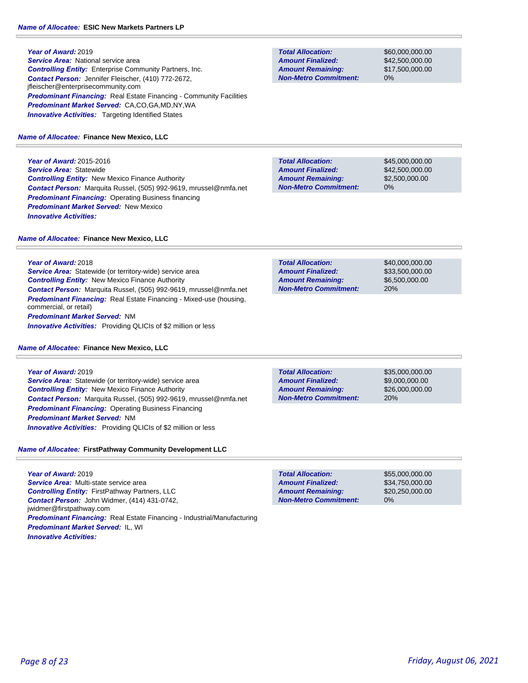**Year of Award:** 2019 **Service Area: National service area** *Controlling Entity:* Enterprise Community Partners, Inc. *Contact Person:* Jennifer Fleischer, (410) 772-2672, jfleischer@enterprisecommunity.com **Predominant Financing:** Real Estate Financing - Community Facilities *Predominant Market Served:* CA,CO,GA,MD,NY,WA **Innovative Activities:** Targeting Identified States

### *Name of Allocatee:* **Finance New Mexico, LLC**

**Year of Award:** 2015-2016 *Service Area:* Statewide *Controlling Entity:* New Mexico Finance Authority *Contact Person:* Marquita Russel, (505) 992-9619, mrussel@nmfa.net *Predominant Financing:* Operating Business financing *Predominant Market Served:* New Mexico *Innovative Activities:* 

#### *Name of Allocatee:* **Finance New Mexico, LLC**

**Year of Award:** 2018 *Service Area:* Statewide (or territory-wide) service area *Controlling Entity:* New Mexico Finance Authority *Contact Person:* Marquita Russel, (505) 992-9619, mrussel@nmfa.net *Predominant Financing:* Real Estate Financing - Mixed-use (housing, commercial, or retail) *Predominant Market Served:* NM *Innovative Activities:* Providing QLICIs of \$2 million or less

#### *Name of Allocatee:* **Finance New Mexico, LLC**

**Year of Award:** 2019 *Service Area:* Statewide (or territory-wide) service area *Controlling Entity:* New Mexico Finance Authority *Contact Person:* Marquita Russel, (505) 992-9619, mrussel@nmfa.net *Predominant Financing:* Operating Business Financing *Predominant Market Served:* NM *Innovative Activities:* Providing QLICIs of \$2 million or less

### *Name of Allocatee:* **FirstPathway Community Development LLC**

**Year of Award:** 2019 *Service Area:* Multi-state service area *Controlling Entity:* FirstPathway Partners, LLC *Contact Person:* John Widmer, (414) 431-0742, jwidmer@firstpathway.com *Predominant Financing:* Real Estate Financing - Industrial/Manufacturing *Predominant Market Served:* IL, WI *Innovative Activities:* 

**Total Allocation: Non-Metro Commitment: Amount Remaining: Amount Finalized:**

\$60,000,000.00 \$42,500,000.00 \$17,500,000.00 0%

\$45,000,000.00 \$42,500,000.00 \$2,500,000.00 0% **Total Allocation: Non-Metro Commitment: Amount Remaining: Amount Finalized:**

\$40,000,000.00 \$33,500,000.00 \$6,500,000.00 20% **Total Allocation: Non-Metro Commitment: Amount Remaining: Amount Finalized:**

**Total Allocation: Non-Metro Commitment: Amount Remaining: Amount Finalized:**

\$35,000,000.00 \$9,000,000.00 \$26,000,000.00 20%

**Total Allocation: Non-Metro Commitment: Amount Remaining: Amount Finalized:**

\$55,000,000.00 \$34,750,000.00 \$20,250,000.00 0%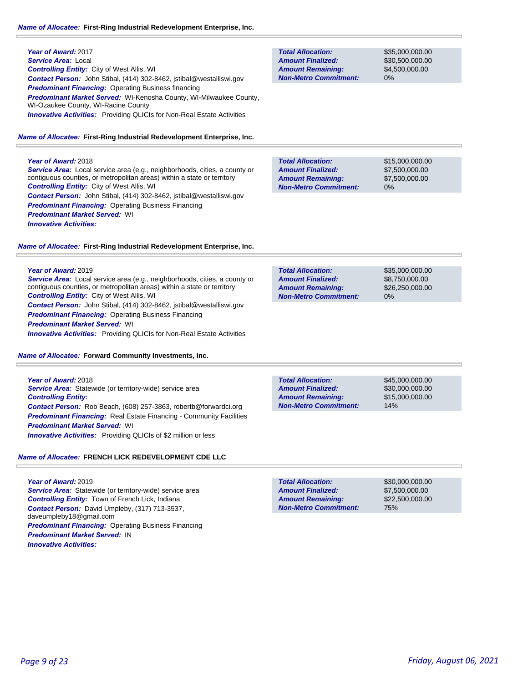#### *Name of Allocatee:* **First-Ring Industrial Redevelopment Enterprise, Inc.**

#### **Year of Award:** 2018

*Service Area:* Local service area (e.g., neighborhoods, cities, a county or contiguous counties, or metropolitan areas) within a state or territory *Controlling Entity:* City of West Allis, WI *Contact Person:* John Stibal, (414) 302-8462, jstibal@westalliswi.gov **Predominant Financing: Operating Business Financing** *Predominant Market Served:* WI *Innovative Activities:* 

#### *Name of Allocatee:* **First-Ring Industrial Redevelopment Enterprise, Inc.**

#### **Year of Award:** 2019

*Service Area:* Local service area (e.g., neighborhoods, cities, a county or contiguous counties, or metropolitan areas) within a state or territory *Controlling Entity:* City of West Allis, WI *Contact Person:* John Stibal, (414) 302-8462, jstibal@westalliswi.gov *Predominant Financing: Operating Business Financing Predominant Market Served:* WI **Innovative Activities:** Providing QLICIs for Non-Real Estate Activities

*Name of Allocatee:* **Forward Community Investments, Inc.**

**Year of Award:** 2018 *Service Area:* Statewide (or territory-wide) service area *Controlling Entity: Contact Person:* Rob Beach, (608) 257-3863, robertb@forwardci.org **Predominant Financing:** Real Estate Financing - Community Facilities *Predominant Market Served:* WI *Innovative Activities:* Providing QLICIs of \$2 million or less

#### *Name of Allocatee:* **FRENCH LICK REDEVELOPMENT CDE LLC**

### **Year of Award:** 2019 *Service Area:* Statewide (or territory-wide) service area *Controlling Entity:* Town of French Lick, Indiana *Contact Person:* David Umpleby, (317) 713-3537, daveumpleby18@gmail.com *Predominant Financing:* Operating Business Financing *Predominant Market Served:* IN *Innovative Activities:*

**Total Allocation: Non-Metro Commitment: Amount Remaining: Amount Finalized:**

\$35,000,000.00 \$30,500,000.00 \$4,500,000.00 0%

\$15,000,000.00 \$7,500,000.00 \$7,500,000.00 0% **Total Allocation: Non-Metro Commitment: Amount Remaining: Amount Finalized:**

**Total Allocation: Non-Metro Commitment: Amount Remaining: Amount Finalized:**

\$35,000,000.00 \$8,750,000.00 \$26,250,000.00 0%

**Total Allocation: Non-Metro Commitment: Amount Remaining: Amount Finalized:**

\$45,000,000.00 \$30,000,000.00 \$15,000,000.00 14%

\$30,000,000.00 \$7,500,000.00 \$22,500,000.00 75% **Total Allocation: Non-Metro Commitment: Amount Remaining: Amount Finalized:**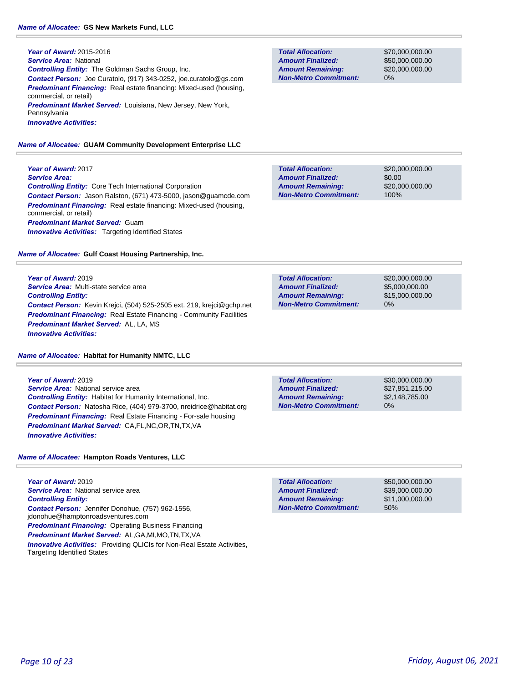**Year of Award:** 2015-2016 *Service Area:* National *Controlling Entity:* The Goldman Sachs Group, Inc. *Contact Person:* Joe Curatolo, (917) 343-0252, joe.curatolo@gs.com *Predominant Financing:* Real estate financing: Mixed-used (housing, commercial, or retail) *Predominant Market Served:* Louisiana, New Jersey, New York, Pennsylvania *Innovative Activities:* 

#### *Name of Allocatee:* **GUAM Community Development Enterprise LLC**

**Year of Award:** 2017 *Service Area: Controlling Entity:* Core Tech International Corporation *Contact Person:* Jason Ralston, (671) 473-5000, jason@guamcde.com **Predominant Financing:** Real estate financing: Mixed-used (housing, commercial, or retail) *Predominant Market Served:* Guam **Innovative Activities:** Targeting Identified States

*Name of Allocatee:* **Gulf Coast Housing Partnership, Inc.**

**Year of Award:** 2019 *Service Area:* Multi-state service area *Controlling Entity: Contact Person:* Kevin Krejci, (504) 525-2505 ext. 219, krejci@gchp.net **Predominant Financing:** Real Estate Financing - Community Facilities *Predominant Market Served:* AL, LA, MS *Innovative Activities:* 

*Name of Allocatee:* **Habitat for Humanity NMTC, LLC**

**Year of Award:** 2019 **Service Area: National service area** *Controlling Entity:* Habitat for Humanity International, Inc. *Contact Person:* Natosha Rice, (404) 979-3700, nreidrice@habitat.org *Predominant Financing:* Real Estate Financing - For-sale housing *Predominant Market Served:* CA,FL,NC,OR,TN,TX,VA *Innovative Activities:* 

*Name of Allocatee:* **Hampton Roads Ventures, LLC**

**Year of Award:** 2019 *Service Area:* National service area *Controlling Entity: Contact Person:* Jennifer Donohue, (757) 962-1556, jdonohue@hamptonroadsventures.com *Predominant Financing:* Operating Business Financing *Predominant Market Served:* AL,GA,MI,MO,TN,TX,VA *Innovative Activities:* Providing QLICIs for Non-Real Estate Activities, Targeting Identified States

**Total Allocation: Non-Metro Commitment: Amount Remaining: Amount Finalized:**

\$70,000,000.00 \$50,000,000.00 \$20,000,000.00

\$20,000,000.00 \$0.00 \$20,000,000.00 100% **Non-Metro Commitment: Amount Remaining:**

\$20,000,000.00 \$5,000,000.00 \$15,000,000.00 0% **Total Allocation: Non-Metro Commitment: Amount Remaining: Amount Finalized:**

**Total Allocation: Non-Metro Commitment: Amount Remaining: Amount Finalized:**

\$30,000,000.00 \$27,851,215.00 \$2,148,785.00 0%

\$50,000,000.00 \$39,000,000.00 \$11,000,000.00 50% **Total Allocation: Non-Metro Commitment: Amount Remaining: Amount Finalized:**

**Total Allocation: Amount Finalized:**

0%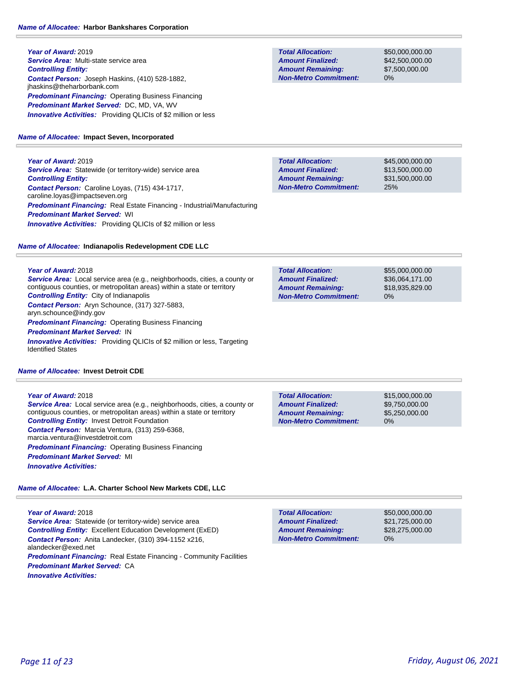**Year of Award:** 2019 *Service Area:* Multi-state service area *Controlling Entity: Contact Person:* Joseph Haskins, (410) 528-1882, jhaskins@theharborbank.com *Predominant Financing:* Operating Business Financing *Predominant Market Served:* DC, MD, VA, WV **Innovative Activities:** Providing QLICIs of \$2 million or less

### *Name of Allocatee:* **Impact Seven, Incorporated**

**Year of Award:** 2019 **Service Area:** Statewide (or territory-wide) service area *Controlling Entity: Contact Person:* Caroline Loyas, (715) 434-1717, caroline.loyas@impactseven.org *Predominant Financing:* Real Estate Financing - Industrial/Manufacturing *Predominant Market Served:* WI **Innovative Activities:** Providing QLICIs of \$2 million or less

### *Name of Allocatee:* **Indianapolis Redevelopment CDE LLC**

**Year of Award:** 2018

*Service Area:* Local service area (e.g., neighborhoods, cities, a county or contiguous counties, or metropolitan areas) within a state or territory *Controlling Entity:* City of Indianapolis *Contact Person:* Aryn Schounce, (317) 327-5883, aryn.schounce@indy.gov *Predominant Financing:* Operating Business Financing

*Predominant Market Served:* IN

*Innovative Activities:* Providing QLICIs of \$2 million or less, Targeting Identified States

### *Name of Allocatee:* **Invest Detroit CDE**

### **Year of Award:** 2018

*Service Area:* Local service area (e.g., neighborhoods, cities, a county or contiguous counties, or metropolitan areas) within a state or territory *Controlling Entity:* Invest Detroit Foundation *Contact Person:* Marcia Ventura, (313) 259-6368, marcia.ventura@investdetroit.com **Predominant Financing: Operating Business Financing** *Predominant Market Served:* MI *Innovative Activities:* 

### *Name of Allocatee:* **L.A. Charter School New Markets CDE, LLC**

**Year of Award:** 2018 **Service Area:** Statewide (or territory-wide) service area *Controlling Entity:* Excellent Education Development (ExED) *Contact Person:* Anita Landecker, (310) 394-1152 x216, alandecker@exed.net *Predominant Financing:* Real Estate Financing - Community Facilities *Predominant Market Served:* CA *Innovative Activities:* 

**Total Allocation: Non-Metro Commitment: Amount Remaining: Amount Finalized:**

\$50,000,000.00 \$42,500,000.00 \$7,500,000.00 0%

\$45,000,000.00 \$13,500,000.00 \$31,500,000.00 25% **Total Allocation: Non-Metro Commitment: Amount Remaining: Amount Finalized:**

**Total Allocation: Non-Metro Commitment: Amount Remaining: Amount Finalized:**

\$55,000,000.00 \$36,064,171.00 \$18,935,829.00 0%

**Total Allocation: Non-Metro Commitment: Amount Remaining: Amount Finalized:**

\$15,000,000.00 \$9,750,000.00 \$5,250,000.00 0%

**Total Allocation: Non-Metro Commitment: Amount Remaining: Amount Finalized:**

\$50,000,000.00 \$21,725,000.00 \$28,275,000.00 0%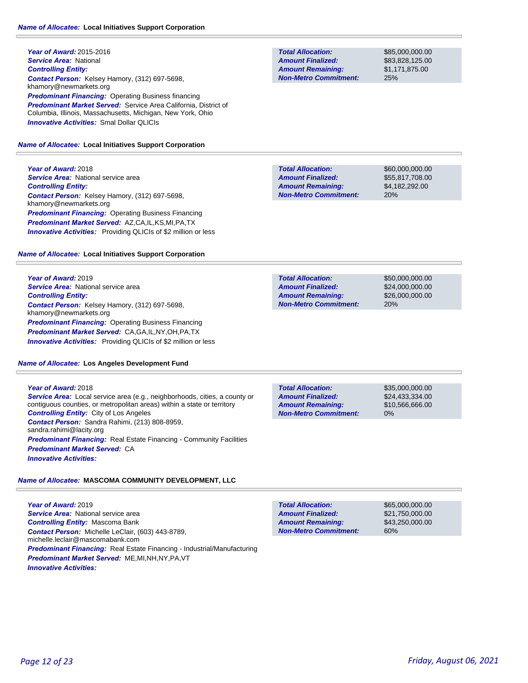**Year of Award:** 2015-2016 *Service Area:* National *Controlling Entity: Contact Person:* Kelsey Hamory, (312) 697-5698, khamory@newmarkets.org **Predominant Financing: Operating Business financing** *Predominant Market Served:* Service Area California, District of Columbia, Illinois, Massachusetts, Michigan, New York, Ohio *Innovative Activities:* Smal Dollar QLICIs

*Name of Allocatee:* **Local Initiatives Support Corporation**

**Year of Award:** 2018 **Service Area: National service area** *Controlling Entity: Contact Person:* Kelsey Hamory, (312) 697-5698, khamory@newmarkets.org *Predominant Financing:* Operating Business Financing *Predominant Market Served:* AZ,CA,IL,KS,MI,PA,TX **Innovative Activities:** Providing QLICIs of \$2 million or less

#### *Name of Allocatee:* **Local Initiatives Support Corporation**

**Year of Award:** 2019 **Service Area:** National service area *Controlling Entity: Contact Person:* Kelsey Hamory, (312) 697-5698, khamory@newmarkets.org *Predominant Financing:* Operating Business Financing *Predominant Market Served:* CA,GA,IL,NY,OH,PA,TX **Innovative Activities:** Providing QLICIs of \$2 million or less

#### *Name of Allocatee:* **Los Angeles Development Fund**

**Year of Award:** 2018 *Service Area:* Local service area (e.g., neighborhoods, cities, a county or contiguous counties, or metropolitan areas) within a state or territory *Controlling Entity:* City of Los Angeles *Contact Person:* Sandra Rahimi, (213) 808-8959, sandra.rahimi@lacity.org **Predominant Financing:** Real Estate Financing - Community Facilities *Predominant Market Served:* CA *Innovative Activities:* 

### *Name of Allocatee:* **MASCOMA COMMUNITY DEVELOPMENT, LLC**

**Year of Award:** 2019 *Service Area:* National service area *Controlling Entity:* Mascoma Bank *Contact Person:* Michelle LeClair, (603) 443-8789, michelle.leclair@mascomabank.com *Predominant Financing:* Real Estate Financing - Industrial/Manufacturing *Predominant Market Served:* ME,MI,NH,NY,PA,VT *Innovative Activities:* 

**Total Allocation: Non-Metro Commitment: Amount Remaining: Amount Finalized:**

\$85,000,000.00 \$83,828,125.00 \$1,171,875.00 25%

**Total Allocation: Non-Metro Commitment: Amount Remaining: Amount Finalized:**

\$60,000,000.00 \$55,817,708.00 \$4,182,292.00 20%

\$50,000,000.00 \$24,000,000.00 \$26,000,000.00 20% **Total Allocation: Non-Metro Commitment: Amount Remaining: Amount Finalized:**

0% **Total Allocation: Non-Metro Commitment: Amount Remaining: Amount Finalized:**

\$35,000,000.00 \$24,433,334.00 \$10,566,666.00

\$65,000,000.00 \$21,750,000.00 \$43,250,000.00 60% **Total Allocation: Non-Metro Commitment: Amount Remaining: Amount Finalized:**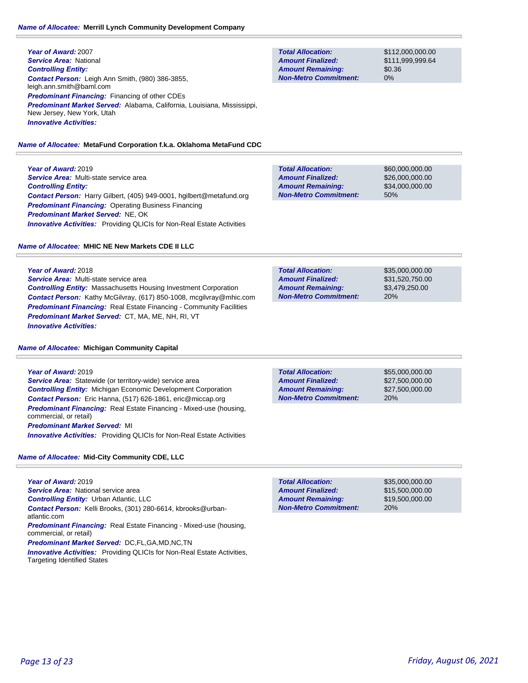#### *Name of Allocatee:* **Merrill Lynch Community Development Company**

**Year of Award:** 2007 *Service Area:* National *Controlling Entity: Contact Person:* Leigh Ann Smith, (980) 386-3855, leigh.ann.smith@baml.com *Predominant Financing:* Financing of other CDEs *Predominant Market Served:* Alabama, California, Louisiana, Mississippi, New Jersey, New York, Utah *Innovative Activities:* 

#### *Name of Allocatee:* **MetaFund Corporation f.k.a. Oklahoma MetaFund CDC**

**Year of Award:** 2019 *Service Area:* Multi-state service area *Controlling Entity: Contact Person:* Harry Gilbert, (405) 949-0001, hgilbert@metafund.org **Predominant Financing: Operating Business Financing** *Predominant Market Served:* NE, OK *Innovative Activities:* Providing QLICIs for Non-Real Estate Activities

#### *Name of Allocatee:* **MHIC NE New Markets CDE II LLC**

**Year of Award:** 2018 *Service Area:* Multi-state service area *Controlling Entity:* Massachusetts Housing Investment Corporation *Contact Person:* Kathy McGilvray, (617) 850-1008, mcgilvray@mhic.com **Predominant Financing:** Real Estate Financing - Community Facilities *Predominant Market Served:* CT, MA, ME, NH, RI, VT *Innovative Activities:* 

#### *Name of Allocatee:* **Michigan Community Capital**

#### **Year of Award:** 2019

*Service Area:* Statewide (or territory-wide) service area *Controlling Entity:* Michigan Economic Development Corporation *Contact Person:* Eric Hanna, (517) 626-1861, eric@miccap.org *Predominant Financing:* Real Estate Financing - Mixed-use (housing, commercial, or retail) *Predominant Market Served:* MI

*Innovative Activities:* Providing QLICIs for Non-Real Estate Activities

*Name of Allocatee:* **Mid-City Community CDE, LLC**

**Year of Award:** 2019 **Service Area: National service area** *Controlling Entity:* Urban Atlantic, LLC *Contact Person:* Kelli Brooks, (301) 280-6614, kbrooks@urbanatlantic.com *Predominant Financing:* Real Estate Financing - Mixed-use (housing, commercial, or retail) *Predominant Market Served:* DC,FL,GA,MD,NC,TN **Innovative Activities:** Providing QLICIs for Non-Real Estate Activities, Targeting Identified States

| <b>Total Allocation:</b>     | \$112,000,000,00 |
|------------------------------|------------------|
| <b>Amount Finalized:</b>     | \$111.999.999.64 |
| <b>Amount Remaining:</b>     | \$0.36           |
| <b>Non-Metro Commitment:</b> | $0\%$            |

| <b>Total Allocation:</b>     | \$60,000,000,00 |
|------------------------------|-----------------|
| <b>Amount Finalized:</b>     | \$26,000,000,00 |
| <b>Amount Remaining:</b>     | \$34,000,000,00 |
| <b>Non-Metro Commitment:</b> | 50%             |

**Total Allocation: Non-Metro Commitment: Amount Remaining: Amount Finalized:**

\$35,000,000.00 \$31,520,750.00 \$3,479,250.00 20%

\$55,000,000.00 \$27,500,000.00 \$27,500,000.00 20% **Total Allocation: Non-Metro Commitment: Amount Remaining: Amount Finalized:**

\$35,000,000.00 \$15,500,000.00 \$19,500,000.00 20% **Total Allocation: Non-Metro Commitment: Amount Remaining: Amount Finalized:**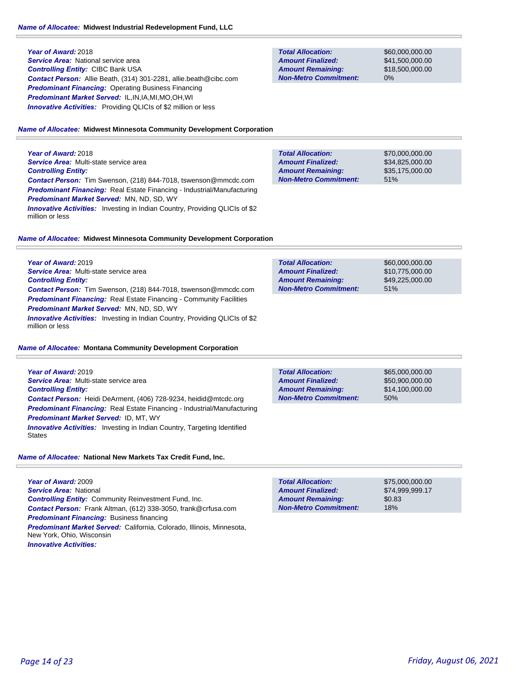**Year of Award:** 2018 **Service Area:** National service area *Controlling Entity:* CIBC Bank USA *Contact Person:* Allie Beath, (314) 301-2281, allie.beath@cibc.com **Predominant Financing: Operating Business Financing** *Predominant Market Served:* IL,IN,IA,MI,MO,OH,WI **Innovative Activities:** Providing QLICIs of \$2 million or less

| \$60,000,000,00 |
|-----------------|
| \$41,500,000,00 |
| \$18,500,000,00 |
| $0\%$           |
|                 |

### *Name of Allocatee:* **Midwest Minnesota Community Development Corporation**

**Year of Award:** 2018 *Service Area:* Multi-state service area *Controlling Entity: Contact Person:* Tim Swenson, (218) 844-7018, tswenson@mmcdc.com *Predominant Financing:* Real Estate Financing - Industrial/Manufacturing *Predominant Market Served:* MN, ND, SD, WY *Innovative Activities:* Investing in Indian Country, Providing QLICIs of \$2 million or less

| <b>Total Allocation:</b>     | \$70,000,000,00 |
|------------------------------|-----------------|
| <b>Amount Finalized:</b>     | \$34,825,000.00 |
| <b>Amount Remaining:</b>     | \$35,175,000,00 |
| <b>Non-Metro Commitment:</b> | 51%             |

#### *Name of Allocatee:* **Midwest Minnesota Community Development Corporation**

| Year of Award: 2019                                                                                                                                                                                                                     | <b>Total Allocation:</b>     | \$60,000,000.00 |
|-----------------------------------------------------------------------------------------------------------------------------------------------------------------------------------------------------------------------------------------|------------------------------|-----------------|
| <b>Service Area:</b> Multi-state service area                                                                                                                                                                                           | <b>Amount Finalized:</b>     | \$10,775,000.00 |
| <b>Controlling Entity:</b>                                                                                                                                                                                                              | <b>Amount Remaining:</b>     | \$49,225,000,00 |
| <b>Contact Person:</b> Tim Swenson, (218) 844-7018, tswenson@mmcdc.com                                                                                                                                                                  | <b>Non-Metro Commitment:</b> | 51%             |
| <b>Predominant Financing:</b> Real Estate Financing - Community Facilities<br><b>Predominant Market Served: MN, ND, SD, WY</b><br><b>Innovative Activities:</b> Investing in Indian Country, Providing QLICIs of \$2<br>million or less |                              |                 |

#### *Name of Allocatee:* **Montana Community Development Corporation**

| Year of Award: 2019                                                                       | <b>Total Allocation:</b>     | \$65,000,000,00 |  |
|-------------------------------------------------------------------------------------------|------------------------------|-----------------|--|
| <b>Service Area:</b> Multi-state service area                                             | <b>Amount Finalized:</b>     | \$50,900,000,00 |  |
| <b>Controlling Entity:</b>                                                                | <b>Amount Remaining:</b>     | \$14.100.000.00 |  |
| <b>Contact Person:</b> Heidi DeArment, (406) 728-9234, heidid@mtcdc.org                   | <b>Non-Metro Commitment:</b> | 50%             |  |
| <b>Predominant Financing: Real Estate Financing - Industrial/Manufacturing</b>            |                              |                 |  |
| <b>Predominant Market Served: ID, MT, WY</b>                                              |                              |                 |  |
| <b>Innovative Activities:</b> Investing in Indian Country, Targeting Identified<br>States |                              |                 |  |

#### *Name of Allocatee:* **National New Markets Tax Credit Fund, Inc.**

**Year of Award:** 2009 *Service Area:* National *Controlling Entity:* Community Reinvestment Fund, Inc. *Contact Person:* Frank Altman, (612) 338-3050, frank@crfusa.com **Predominant Financing: Business financing** *Predominant Market Served:* California, Colorado, Illinois, Minnesota, New York, Ohio, Wisconsin *Innovative Activities:* 

| <b>Total Allocation:</b>     | \$75,000,000,00 |
|------------------------------|-----------------|
| <b>Amount Finalized:</b>     | \$74.999.999.17 |
| <b>Amount Remaining:</b>     | \$0.83          |
| <b>Non-Metro Commitment:</b> | 18%             |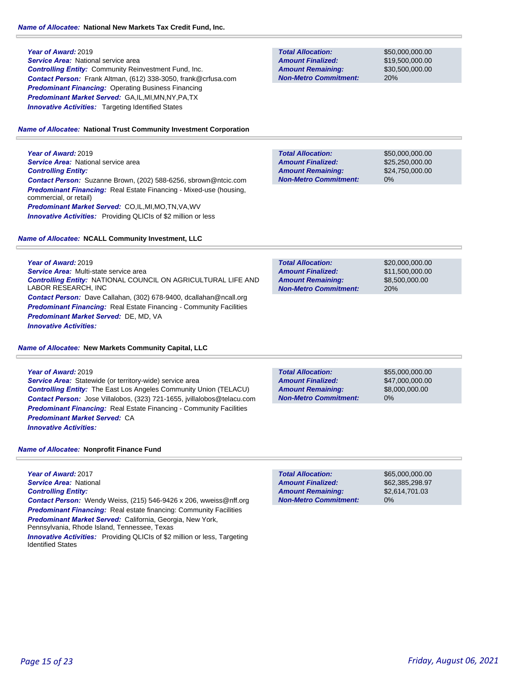**Year of Award:** 2019 *Service Area:* National service area *Controlling Entity:* Community Reinvestment Fund, Inc. *Contact Person:* Frank Altman, (612) 338-3050, frank@crfusa.com

**Predominant Financing: Operating Business Financing** *Predominant Market Served:* GA,IL,MI,MN,NY,PA,TX **Innovative Activities:** Targeting Identified States

#### *Name of Allocatee:* **National Trust Community Investment Corporation**

**Year of Award:** 2019 **Service Area: National service area** *Controlling Entity: Contact Person:* Suzanne Brown, (202) 588-6256, sbrown@ntcic.com *Predominant Financing:* Real Estate Financing - Mixed-use (housing, commercial, or retail) *Predominant Market Served:* CO,IL,MI,MO,TN,VA,WV **Innovative Activities:** Providing QLICIs of \$2 million or less

*Name of Allocatee:* **NCALL Community Investment, LLC**

**Total Allocation: Non-Metro Commitment: Amount Remaining: Amount Finalized:**

\$50,000,000.00 \$19,500,000.00 \$30,500,000.00 20%

**Total Allocation: Non-Metro Commitment: Amount Remaining: Amount Finalized:**

\$50,000,000.00 \$25,250,000.00 \$24,750,000.00 0%

| Year of Award: 2019                    |  |
|----------------------------------------|--|
| Service Area: Multi-state service area |  |

*Controlling Entity:* NATIONAL COUNCIL ON AGRICULTURAL LIFE AND LABOR RESEARCH, INC *Contact Person:* Dave Callahan, (302) 678-9400, dcallahan@ncall.org **Predominant Financing:** Real Estate Financing - Community Facilities *Predominant Market Served:* DE, MD, VA *Innovative Activities:* 

*Name of Allocatee:* **New Markets Community Capital, LLC**

**Year of Award:** 2019 *Service Area:* Statewide (or territory-wide) service area *Controlling Entity:* The East Los Angeles Community Union (TELACU) *Contact Person:* Jose Villalobos, (323) 721-1655, jvillalobos@telacu.com *Predominant Financing:* Real Estate Financing - Community Facilities *Predominant Market Served:* CA *Innovative Activities:* 

\$20,000,000.00 \$11,500,000.00 \$8,500,000.00 20% **Total Allocation: Non-Metro Commitment: Amount Remaining: Amount Finalized:**

**Total Allocation: Non-Metro Commitment: Amount Remaining: Amount Finalized:**

\$55,000,000.00 \$47,000,000.00 \$8,000,000.00 0%

*Name of Allocatee:* **Nonprofit Finance Fund**

**Year of Award:** 2017 *Service Area:* National *Controlling Entity: Contact Person:* Wendy Weiss, (215) 546-9426 x 206, wweiss@nff.org **Predominant Financing:** Real estate financing: Community Facilities *Predominant Market Served: California, Georgia, New York,* Pennsylvania, Rhode Island, Tennessee, Texas

*Innovative Activities:* Providing QLICIs of \$2 million or less, Targeting Identified States

**Total Allocation: Non-Metro Commitment: Amount Remaining: Amount Finalized:**

\$65,000,000.00 \$62,385,298.97 \$2,614,701.03 0%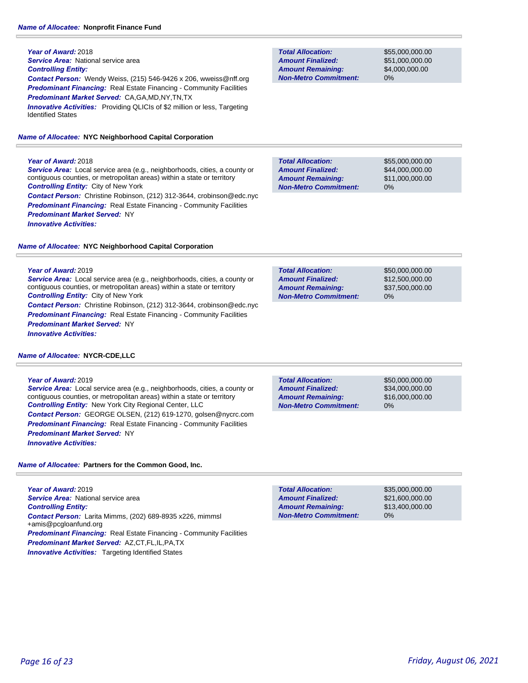#### **Year of Award:** 2018

**Service Area:** National service area

*Controlling Entity:* City of New York

*Predominant Market Served:* NY

### *Controlling Entity:*

**Year of Award:** 2018

*Contact Person:* Wendy Weiss, (215) 546-9426 x 206, wweiss@nff.org *Predominant Financing:* Real Estate Financing - Community Facilities *Predominant Market Served:* CA,GA,MD,NY,TN,TX **Innovative Activities:** Providing QLICIs of \$2 million or less, Targeting

Identified States

*Service Area:* Local service area (e.g., neighborhoods, cities, a county or contiguous counties, or metropolitan areas) within a state or territory

*Contact Person:* Christine Robinson, (212) 312-3644, crobinson@edc.nyc **Predominant Financing:** Real Estate Financing - Community Facilities

#### *Name of Allocatee:* **NYC Neighborhood Capital Corporation**

#### **Total Allocation: Non-Metro Commitment: Amount Remaining: Amount Finalized:**

**Total Allocation:**

**Non-Metro Commitment: Amount Remaining: Amount Finalized:**

\$55,000,000.00 \$51,000,000.00 \$4,000,000.00 0%

\$55,000,000.00 \$44,000,000.00 \$11,000,000.00 0% **Total Allocation: Non-Metro Commitment: Amount Remaining: Amount Finalized:**

*Name of Allocatee:* **NYC Neighborhood Capital Corporation**

#### **Year of Award:** 2019

*Innovative Activities:* 

*Service Area:* Local service area (e.g., neighborhoods, cities, a county or contiguous counties, or metropolitan areas) within a state or territory *Controlling Entity:* City of New York *Contact Person:* Christine Robinson, (212) 312-3644, crobinson@edc.nyc **Predominant Financing:** Real Estate Financing - Community Facilities

*Predominant Market Served:* NY *Innovative Activities:* 

### *Name of Allocatee:* **NYCR-CDE,LLC**

#### **Year of Award:** 2019

*Service Area:* Local service area (e.g., neighborhoods, cities, a county or contiguous counties, or metropolitan areas) within a state or territory *Controlling Entity:* New York City Regional Center, LLC *Contact Person:* GEORGE OLSEN, (212) 619-1270, golsen@nycrc.com **Predominant Financing:** Real Estate Financing - Community Facilities *Predominant Market Served:* NY *Innovative Activities:* 

0% **Total Allocation: Non-Metro Commitment: Amount Remaining: Amount Finalized:**

\$50,000,000.00 \$34,000,000.00 \$16,000,000.00

\$50,000,000.00 \$12,500,000.00 \$37,500,000.00

0%

*Name of Allocatee:* **Partners for the Common Good, Inc.**

**Year of Award:** 2019 **Service Area: National service area** *Controlling Entity: Contact Person:* Larita Mimms, (202) 689-8935 x226, mimmsl +amis@pcgloanfund.org *Predominant Financing:* Real Estate Financing - Community Facilities *Predominant Market Served:* AZ,CT,FL,IL,PA,TX **Innovative Activities:** Targeting Identified States

| <b>Total Allocation:</b>     | \$35,000,000,00 |
|------------------------------|-----------------|
| <b>Amount Finalized:</b>     | \$21,600,000,00 |
| <b>Amount Remaining:</b>     | \$13,400,000,00 |
| <b>Non-Metro Commitment:</b> | 0%              |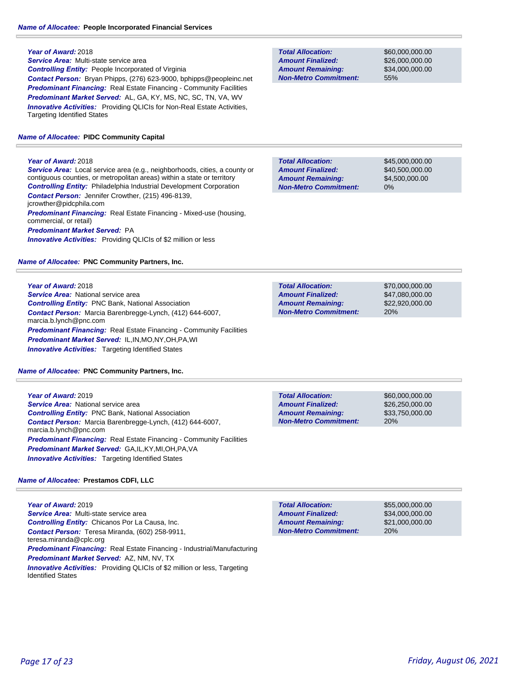### **Year of Award:** 2018

*Service Area:* Multi-state service area *Controlling Entity:* People Incorporated of Virginia *Contact Person:* Bryan Phipps, (276) 623-9000, bphipps@peopleinc.net *Predominant Financing:* Real Estate Financing - Community Facilities *Predominant Market Served:* AL, GA, KY, MS, NC, SC, TN, VA, WV **Innovative Activities:** Providing QLICIs for Non-Real Estate Activities, Targeting Identified States

### *Name of Allocatee:* **PIDC Community Capital**

### **Year of Award:** 2018

*Service Area:* Local service area (e.g., neighborhoods, cities, a county or contiguous counties, or metropolitan areas) within a state or territory *Controlling Entity:* Philadelphia Industrial Development Corporation *Contact Person:* Jennifer Crowther, (215) 496-8139, jcrowther@pidcphila.com *Predominant Financing:* Real Estate Financing - Mixed-use (housing, commercial, or retail) *Predominant Market Served:* PA **Innovative Activities:** Providing QLICIs of \$2 million or less

*Name of Allocatee:* **PNC Community Partners, Inc.**

**Year of Award:** 2018 *Service Area:* National service area *Controlling Entity:* PNC Bank, National Association *Contact Person:* Marcia Barenbregge-Lynch, (412) 644-6007, marcia.b.lynch@pnc.com **Predominant Financing:** Real Estate Financing - Community Facilities *Predominant Market Served:* IL,IN,MO,NY,OH,PA,WI *Innovative Activities:* Targeting Identified States

*Name of Allocatee:* **PNC Community Partners, Inc.**

**Year of Award:** 2019 *Service Area:* National service area *Controlling Entity:* PNC Bank, National Association *Contact Person:* Marcia Barenbregge-Lynch, (412) 644-6007, marcia.b.lynch@pnc.com **Predominant Financing:** Real Estate Financing - Community Facilities *Predominant Market Served:* GA,IL,KY,MI,OH,PA,VA *Innovative Activities:* Targeting Identified States

### *Name of Allocatee:* **Prestamos CDFI, LLC**

**Year of Award:** 2019 *Service Area:* Multi-state service area *Controlling Entity:* Chicanos Por La Causa, Inc. *Contact Person:* Teresa Miranda, (602) 258-9911, teresa.miranda@cplc.org *Predominant Financing:* Real Estate Financing - Industrial/Manufacturing *Predominant Market Served:* AZ, NM, NV, TX *Innovative Activities:* Providing QLICIs of \$2 million or less, Targeting Identified States

**Total Allocation: Non-Metro Commitment: Amount Remaining: Amount Finalized:**

\$60,000,000.00 \$26,000,000.00 \$34,000,000.00 55%

\$45,000,000.00 \$40,500,000.00 \$4,500,000.00 0% **Total Allocation: Non-Metro Commitment: Amount Remaining: Amount Finalized:**

**Total Allocation: Non-Metro Commitment: Amount Remaining: Amount Finalized:**

\$70,000,000.00 \$47,080,000.00 \$22,920,000.00 20%

**Total Allocation: Non-Metro Commitment: Amount Remaining: Amount Finalized:**

\$60,000,000.00 \$26,250,000.00 \$33,750,000.00 20%

\$55,000,000.00 \$34,000,000.00 \$21,000,000.00 20% **Total Allocation: Non-Metro Commitment: Amount Remaining: Amount Finalized:**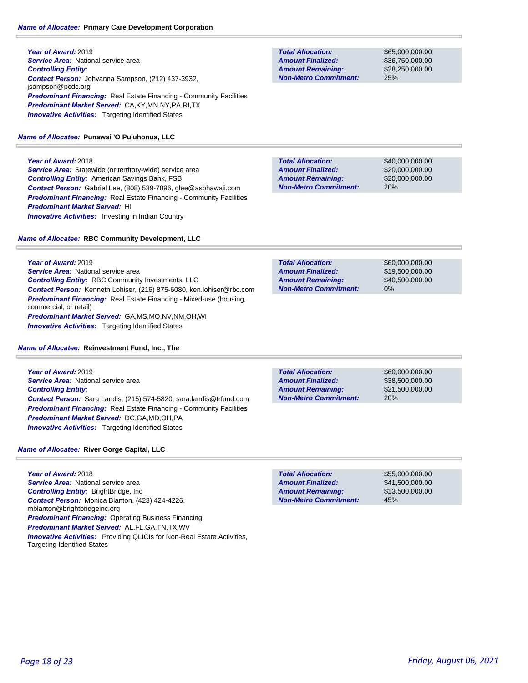### *Name of Allocatee:* **Primary Care Development Corporation**

**Year of Award:** 2019 **Service Area: National service area** *Controlling Entity: Contact Person:* Johvanna Sampson, (212) 437-3932, jsampson@pcdc.org **Predominant Financing:** Real Estate Financing - Community Facilities *Predominant Market Served:* CA,KY,MN,NY,PA,RI,TX **Innovative Activities:** Targeting Identified States

### *Name of Allocatee:* **Punawai 'O Pu'uhonua, LLC**

**Year of Award:** 2018 **Service Area:** Statewide (or territory-wide) service area *Controlling Entity:* American Savings Bank, FSB *Contact Person:* Gabriel Lee, (808) 539-7896, glee@asbhawaii.com *Predominant Financing:* Real Estate Financing - Community Facilities *Predominant Market Served:* HI **Innovative Activities:** Investing in Indian Country

*Name of Allocatee:* **RBC Community Development, LLC**

**Year of Award:** 2019 **Service Area: National service area** *Controlling Entity:* RBC Community Investments, LLC *Contact Person:* Kenneth Lohiser, (216) 875-6080, ken.lohiser@rbc.com *Predominant Financing:* Real Estate Financing - Mixed-use (housing, commercial, or retail) *Predominant Market Served:* GA,MS,MO,NV,NM,OH,WI **Innovative Activities:** Targeting Identified States

*Name of Allocatee:* **Reinvestment Fund, Inc., The**

**Year of Award:** 2019 *Service Area:* National service area *Controlling Entity: Contact Person:* Sara Landis, (215) 574-5820, sara.landis@trfund.com **Predominant Financing:** Real Estate Financing - Community Facilities *Predominant Market Served:* DC,GA,MD,OH,PA *Innovative Activities:* Targeting Identified States

### *Name of Allocatee:* **River Gorge Capital, LLC**

**Year of Award:** 2018 *Service Area:* National service area *Controlling Entity:* BrightBridge, Inc *Contact Person:* Monica Blanton, (423) 424-4226, mblanton@brightbridgeinc.org **Predominant Financing: Operating Business Financing** *Predominant Market Served:* AL,FL,GA,TN,TX,WV *Innovative Activities:* Providing QLICIs for Non-Real Estate Activities, Targeting Identified States

**Total Allocation: Non-Metro Commitment: Amount Remaining: Amount Finalized:**

\$65,000,000.00 \$36,750,000.00 \$28,250,000.00 25%

\$40,000,000.00 \$20,000,000.00 \$20,000,000.00 20% **Total Allocation: Non-Metro Commitment: Amount Remaining: Amount Finalized:**

\$60,000,000.00 \$19,500,000.00 \$40,500,000.00 0% **Total Allocation: Non-Metro Commitment: Amount Remaining: Amount Finalized:**

**Total Allocation: Non-Metro Commitment: Amount Remaining: Amount Finalized:**

\$60,000,000.00 \$38,500,000.00 \$21,500,000.00 20%

**Total Allocation: Non-Metro Commitment: Amount Remaining: Amount Finalized:**

\$55,000,000.00 \$41,500,000.00 \$13,500,000.00 45%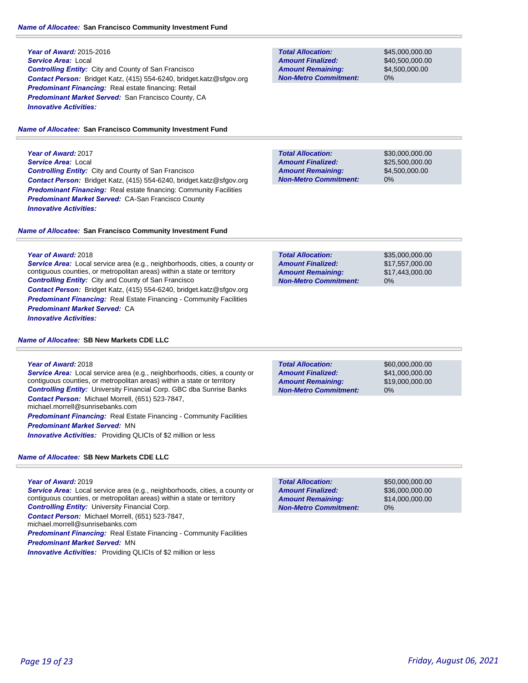#### *Name of Allocatee:* **San Francisco Community Investment Fund**

### **Year of Award:** 2015-2016 *Service Area:* Local *Controlling Entity:* City and County of San Francisco *Contact Person:* Bridget Katz, (415) 554-6240, bridget.katz@sfgov.org *Predominant Financing:* Real estate financing: Retail *Predominant Market Served:* San Francisco County, CA *Innovative Activities:*

#### *Name of Allocatee:* **San Francisco Community Investment Fund**

**Year of Award:** 2017 *Service Area:* Local *Controlling Entity:* City and County of San Francisco *Contact Person:* Bridget Katz, (415) 554-6240, bridget.katz@sfgov.org *Predominant Financing:* Real estate financing: Community Facilities *Predominant Market Served:* CA-San Francisco County *Innovative Activities:* 

#### *Name of Allocatee:* **San Francisco Community Investment Fund**

**Year of Award:** 2018 *Service Area:* Local service area (e.g., neighborhoods, cities, a county or contiguous counties, or metropolitan areas) within a state or territory *Controlling Entity:* City and County of San Francisco *Contact Person:* Bridget Katz, (415) 554-6240, bridget.katz@sfgov.org *Predominant Financing:* Real Estate Financing - Community Facilities *Predominant Market Served:* CA

*Innovative Activities:* 

#### *Name of Allocatee:* **SB New Markets CDE LLC**

#### **Year of Award:** 2018

**Service Area:** Local service area (e.g., neighborhoods, cities, a county or contiguous counties, or metropolitan areas) within a state or territory *Controlling Entity:* University Financial Corp. GBC dba Sunrise Banks *Contact Person:* Michael Morrell, (651) 523-7847, michael.morrell@sunrisebanks.com **Predominant Financing:** Real Estate Financing - Community Facilities

*Predominant Market Served:* MN

*Innovative Activities:* Providing QLICIs of \$2 million or less

### *Name of Allocatee:* **SB New Markets CDE LLC**

#### **Year of Award:** 2019

*Service Area:* Local service area (e.g., neighborhoods, cities, a county or contiguous counties, or metropolitan areas) within a state or territory *Controlling Entity:* University Financial Corp. *Contact Person:* Michael Morrell, (651) 523-7847, michael.morrell@sunrisebanks.com **Predominant Financing:** Real Estate Financing - Community Facilities *Predominant Market Served:* MN **Innovative Activities:** Providing QLICIs of \$2 million or less

### **Total Allocation: Non-Metro Commitment: Amount Remaining: Amount Finalized:**

\$45,000,000.00 \$40,500,000.00 \$4,500,000.00 0%

**Total Allocation: Non-Metro Commitment: Amount Remaining: Amount Finalized:**

\$30,000,000.00 \$25,500,000.00 \$4,500,000.00 0%

| <b>Total Allocation:</b>     | \$35,000,000,00 |
|------------------------------|-----------------|
| <b>Amount Finalized:</b>     | \$17.557.000.00 |
| <b>Amount Remaining:</b>     | \$17,443,000.00 |
| <b>Non-Metro Commitment:</b> | $0\%$           |

\$60,000,000.00 \$41,000,000.00 \$19,000,000.00 0% **Total Allocation: Non-Metro Commitment: Amount Remaining: Amount Finalized:**

\$50,000,000.00 \$36,000,000.00 \$14,000,000.00 0% **Total Allocation: Non-Metro Commitment: Amount Remaining: Amount Finalized:**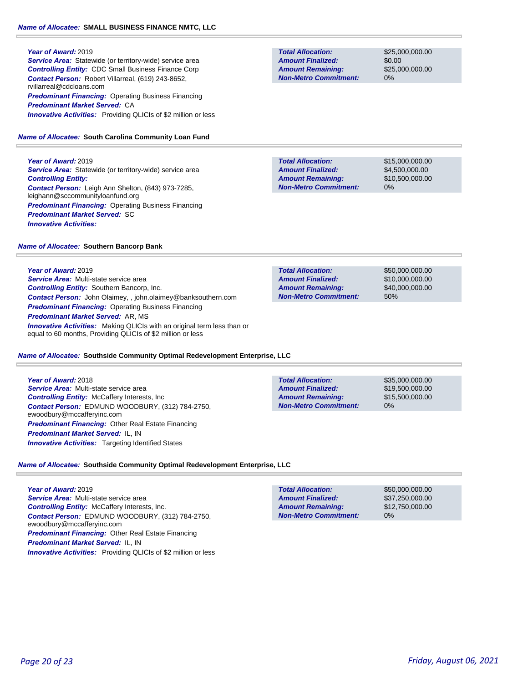### **Year of Award:** 2019

**Service Area:** Statewide (or territory-wide) service area *Controlling Entity:* CDC Small Business Finance Corp *Contact Person:* Robert Villarreal, (619) 243-8652, rvillarreal@cdcloans.com **Predominant Financing: Operating Business Financing** *Predominant Market Served:* CA *Innovative Activities:* Providing QLICIs of \$2 million or less

## *Name of Allocatee:* **South Carolina Community Loan Fund**

**Year of Award:** 2019 **Service Area:** Statewide (or territory-wide) service area *Controlling Entity: Contact Person:* Leigh Ann Shelton, (843) 973-7285, leighann@sccommunityloanfund.org **Predominant Financing: Operating Business Financing** 

*Name of Allocatee:* **Southern Bancorp Bank**

*Predominant Market Served:* SC

**Year of Award:** 2019

*Innovative Activities:* 

*Service Area:* Multi-state service area *Controlling Entity:* Southern Bancorp, Inc. *Contact Person:* John Olaimey, , john.olaimey@banksouthern.com *Predominant Financing:* Operating Business Financing *Predominant Market Served:* AR, MS **Innovative Activities:** Making QLICIs with an original term less than or equal to 60 months, Providing QLICIs of \$2 million or less

### *Name of Allocatee:* **Southside Community Optimal Redevelopment Enterprise, LLC**

**Year of Award:** 2018 *Service Area:* Multi-state service area *Controlling Entity:* McCaffery Interests, Inc *Contact Person:* EDMUND WOODBURY, (312) 784-2750, ewoodbury@mccafferyinc.com *Predominant Financing:* Other Real Estate Financing *Predominant Market Served:* IL, IN **Innovative Activities:** Targeting Identified States

\$35,000,000.00 \$19,500,000.00 \$15,500,000.00 0% **Total Allocation: Non-Metro Commitment: Amount Remaining: Amount Finalized:**

*Name of Allocatee:* **Southside Community Optimal Redevelopment Enterprise, LLC**

**Year of Award:** 2019 *Service Area:* Multi-state service area *Controlling Entity:* McCaffery Interests, Inc. *Contact Person:* EDMUND WOODBURY, (312) 784-2750, ewoodbury@mccafferyinc.com *Predominant Financing:* Other Real Estate Financing *Predominant Market Served:* IL, IN **Innovative Activities:** Providing QLICIs of \$2 million or less

| <b>Total Allocation:</b>     | \$50,000,000,00 |
|------------------------------|-----------------|
| <b>Amount Finalized:</b>     | \$37,250,000,00 |
| <b>Amount Remaining:</b>     | \$12,750,000,00 |
| <b>Non-Metro Commitment:</b> | $0\%$           |
|                              |                 |

| <b>Total Allocation:</b>     | \$50,000,000,00 |
|------------------------------|-----------------|
| <b>Amount Finalized:</b>     | \$10.000.000.00 |
| <b>Amount Remaining:</b>     | \$40,000,000,00 |
| <b>Non-Metro Commitment:</b> | 50%             |
|                              |                 |

**Total Allocation: Non-Metro Commitment: Amount Remaining: Amount Finalized:**

**Total Allocation:**

\$25,000,000.00 \$0.00 \$25,000,000.00 0%

\$15,000,000.00

\$4,500,000.00 \$10,500,000.00 0% **Non-Metro Commitment: Amount Remaining: Amount Finalized:**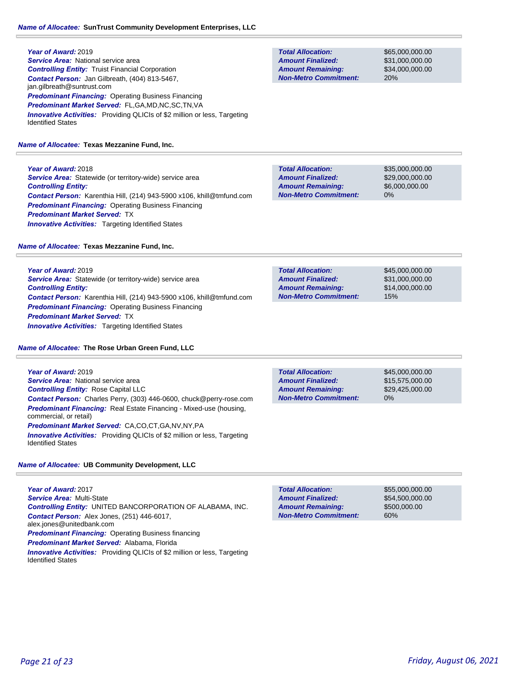**Year of Award:** 2019 **Service Area: National service area** *Controlling Entity:* Truist Financial Corporation *Contact Person:* Jan Gilbreath, (404) 813-5467, jan.gilbreath@suntrust.com **Predominant Financing: Operating Business Financing** *Predominant Market Served:* FL,GA,MD,NC,SC,TN,VA **Innovative Activities:** Providing QLICIs of \$2 million or less, Targeting Identified States

*Name of Allocatee:* **Texas Mezzanine Fund, Inc.**

**Year of Award:** 2018 **Service Area:** Statewide (or territory-wide) service area *Controlling Entity: Contact Person:* Karenthia Hill, (214) 943-5900 x106, khill@tmfund.com **Predominant Financing: Operating Business Financing** *Predominant Market Served:* TX **Innovative Activities:** Targeting Identified States

*Name of Allocatee:* **Texas Mezzanine Fund, Inc.**

**Year of Award:** 2019 *Service Area:* Statewide (or territory-wide) service area *Controlling Entity: Contact Person:* Karenthia Hill, (214) 943-5900 x106, khill@tmfund.com *Predominant Financing:* Operating Business Financing *Predominant Market Served:* TX **Innovative Activities:** Targeting Identified States

*Name of Allocatee:* **The Rose Urban Green Fund, LLC**

**Year of Award:** 2019 *Service Area:* National service area *Controlling Entity:* Rose Capital LLC *Contact Person:* Charles Perry, (303) 446-0600, chuck@perry-rose.com *Predominant Financing:* Real Estate Financing - Mixed-use (housing, commercial, or retail) *Predominant Market Served:* CA,CO,CT,GA,NV,NY,PA *Innovative Activities:* Providing QLICIs of \$2 million or less, Targeting

*Name of Allocatee:* **UB Community Development, LLC**

**Year of Award:** 2017 *Service Area:* Multi-State *Controlling Entity:* UNITED BANCORPORATION OF ALABAMA, INC. *Contact Person:* Alex Jones, (251) 446-6017, alex.jones@unitedbank.com *Predominant Financing:* Operating Business financing *Predominant Market Served:* Alabama, Florida **Innovative Activities:** Providing QLICIs of \$2 million or less, Targeting Identified States

Identified States

\$55,000,000.00 \$54,500,000.00 \$500,000.00 60% **Total Allocation: Non-Metro Commitment: Amount Remaining: Amount Finalized:**

**Total Allocation: Amount Remaining: Amount Finalized:**

**Non-Metro Commitment:**

**Total Allocation:**

**Non-Metro Commitment: Amount Remaining: Amount Finalized:**

**Non-Metro Commitment: Amount Remaining: Amount Finalized:**

**Total Allocation:**

**Total Allocation:**

**Non-Metro Commitment: Amount Remaining: Amount Finalized:**

0%

\$35,000,000.00 \$29,000,000.00 \$6,000,000.00

\$65,000,000.00 \$31,000,000.00 \$34,000,000.00

20%

\$45,000,000.00 \$31,000,000.00 \$14,000,000.00 15%

\$45,000,000.00 \$15,575,000.00 \$29,425,000.00

0%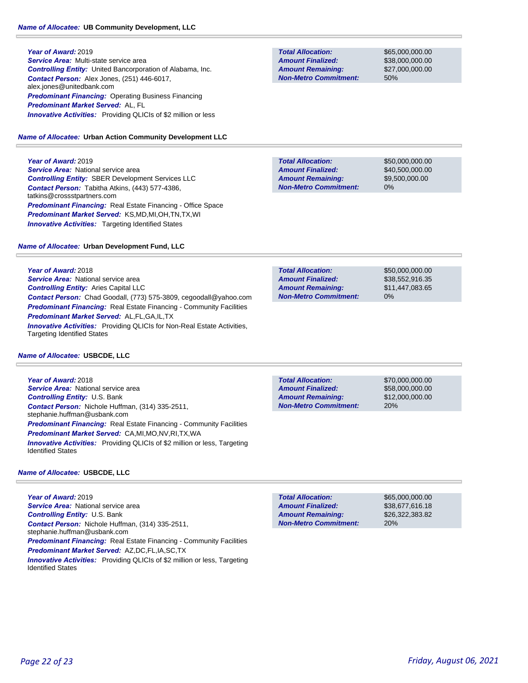### *Name of Allocatee:* **UB Community Development, LLC**

**Year of Award:** 2019 *Service Area:* Multi-state service area *Controlling Entity:* United Bancorporation of Alabama, Inc. *Contact Person:* Alex Jones, (251) 446-6017, alex.jones@unitedbank.com *Predominant Financing:* Operating Business Financing *Predominant Market Served:* AL, FL *Innovative Activities:* Providing QLICIs of \$2 million or less

### *Name of Allocatee:* **Urban Action Community Development LLC**

**Year of Award:** 2019

**Service Area: National service area** *Controlling Entity:* SBER Development Services LLC *Contact Person:* Tabitha Atkins, (443) 577-4386, tatkins@crossstpartners.com *Predominant Financing:* Real Estate Financing - Office Space *Predominant Market Served:* KS,MD,MI,OH,TN,TX,WI **Innovative Activities:** Targeting Identified States

### *Name of Allocatee:* **Urban Development Fund, LLC**

**Year of Award:** 2018 **Service Area: National service area** *Controlling Entity:* Aries Capital LLC *Contact Person:* Chad Goodall, (773) 575-3809, cegoodall@yahoo.com **Predominant Financing:** Real Estate Financing - Community Facilities *Predominant Market Served:* AL,FL,GA,IL,TX *Innovative Activities:* Providing QLICIs for Non-Real Estate Activities, Targeting Identified States

### *Name of Allocatee:* **USBCDE, LLC**

**Year of Award:** 2018 **Service Area: National service area** *Controlling Entity:* U.S. Bank *Contact Person:* Nichole Huffman, (314) 335-2511, stephanie.huffman@usbank.com *Predominant Financing:* Real Estate Financing - Community Facilities *Predominant Market Served:* CA,MI,MO,NV,RI,TX,WA **Innovative Activities:** Providing QLICIs of \$2 million or less, Targeting Identified States

### *Name of Allocatee:* **USBCDE, LLC**

**Year of Award:** 2019 **Service Area: National service area** *Controlling Entity:* U.S. Bank *Contact Person:* Nichole Huffman, (314) 335-2511, stephanie.huffman@usbank.com *Predominant Financing:* Real Estate Financing - Community Facilities *Predominant Market Served:* AZ,DC,FL,IA,SC,TX *Innovative Activities:* Providing QLICIs of \$2 million or less, Targeting Identified States

**Total Allocation: Non-Metro Commitment: Amount Remaining: Amount Finalized:**

\$65,000,000.00 \$38,000,000.00 \$27,000,000.00 50%

**Total Allocation: Non-Metro Commitment: Amount Remaining: Amount Finalized:**

\$50,000,000.00 \$40,500,000.00 \$9,500,000.00 0%

\$50,000,000.00 \$38,552,916.35 \$11,447,083.65 0% **Total Allocation: Non-Metro Commitment: Amount Remaining: Amount Finalized:**

**Total Allocation: Non-Metro Commitment: Amount Remaining: Amount Finalized:**

\$70,000,000.00 \$58,000,000.00 \$12,000,000.00 20%

**Total Allocation: Non-Metro Commitment: Amount Remaining: Amount Finalized:**

\$65,000,000.00 \$38,677,616.18 \$26,322,383.82 20%